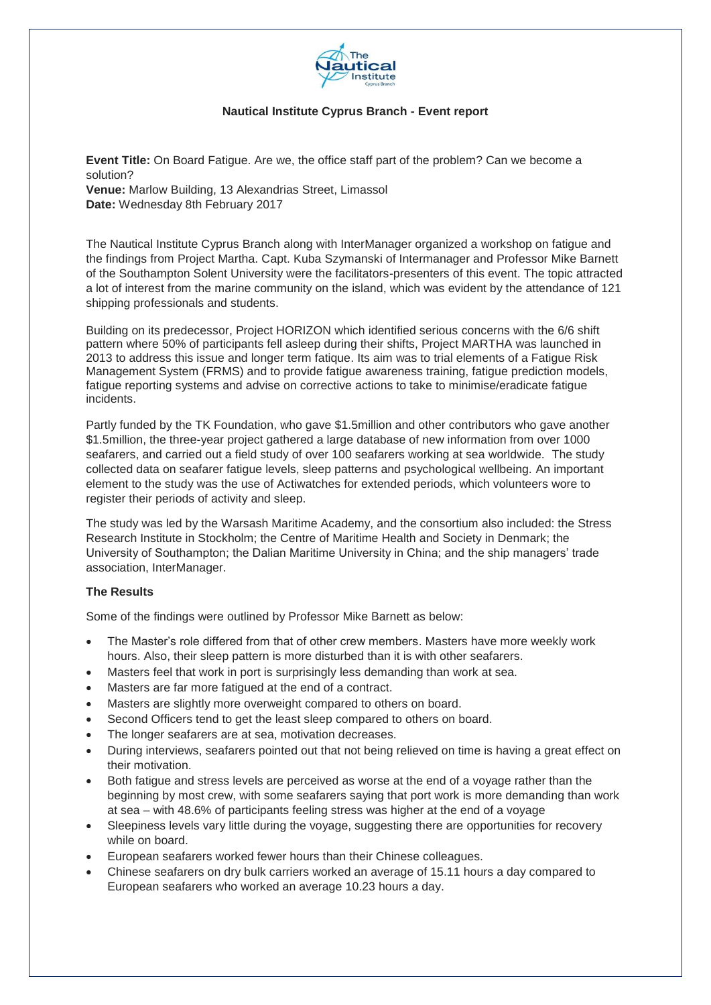

## **Nautical Institute Cyprus Branch - Event report**

**Event Title:** On Board Fatigue. Are we, the office staff part of the problem? Can we become a solution? **Venue:** Marlow Building, 13 Alexandrias Street, Limassol **Date:** Wednesday 8th February 2017

The Nautical Institute Cyprus Branch along with InterManager organized a workshop on fatigue and the findings from Project Martha. Capt. Kuba Szymanski of Intermanager and Professor Mike Barnett of the Southampton Solent University were the facilitators-presenters of this event. The topic attracted a lot of interest from the marine community on the island, which was evident by the attendance of 121 shipping professionals and students.

Building on its predecessor, Project HORIZON which identified serious concerns with the 6/6 shift pattern where 50% of participants fell asleep during their shifts, Project MARTHA was launched in 2013 to address this issue and longer term fatique. Its aim was to trial elements of a Fatigue Risk Management System (FRMS) and to provide fatigue awareness training, fatigue prediction models, fatigue reporting systems and advise on corrective actions to take to minimise/eradicate fatigue incidents.

Partly funded by the TK Foundation, who gave \$1.5million and other contributors who gave another \$1.5million, the three-year project gathered a large database of new information from over 1000 seafarers, and carried out a field study of over 100 seafarers working at sea worldwide. The study collected data on seafarer fatigue levels, sleep patterns and psychological wellbeing. An important element to the study was the use of Actiwatches for extended periods, which volunteers wore to register their periods of activity and sleep.

The study was led by the Warsash Maritime Academy, and the consortium also included: the Stress Research Institute in Stockholm; the Centre of Maritime Health and Society in Denmark; the University of Southampton; the Dalian Maritime University in China; and the ship managers' trade association, InterManager.

## **The Results**

Some of the findings were outlined by Professor Mike Barnett as below:

- The Master's role differed from that of other crew members. Masters have more weekly work hours. Also, their sleep pattern is more disturbed than it is with other seafarers.
- Masters feel that work in port is surprisingly less demanding than work at sea.
- Masters are far more fatigued at the end of a contract.
- Masters are slightly more overweight compared to others on board.
- Second Officers tend to get the least sleep compared to others on board.
- The longer seafarers are at sea, motivation decreases.
- During interviews, seafarers pointed out that not being relieved on time is having a great effect on their motivation.
- Both fatigue and stress levels are perceived as worse at the end of a voyage rather than the beginning by most crew, with some seafarers saying that port work is more demanding than work at sea – with 48.6% of participants feeling stress was higher at the end of a voyage
- Sleepiness levels vary little during the voyage, suggesting there are opportunities for recovery while on board.
- European seafarers worked fewer hours than their Chinese colleagues.
- Chinese seafarers on dry bulk carriers worked an average of 15.11 hours a day compared to European seafarers who worked an average 10.23 hours a day.